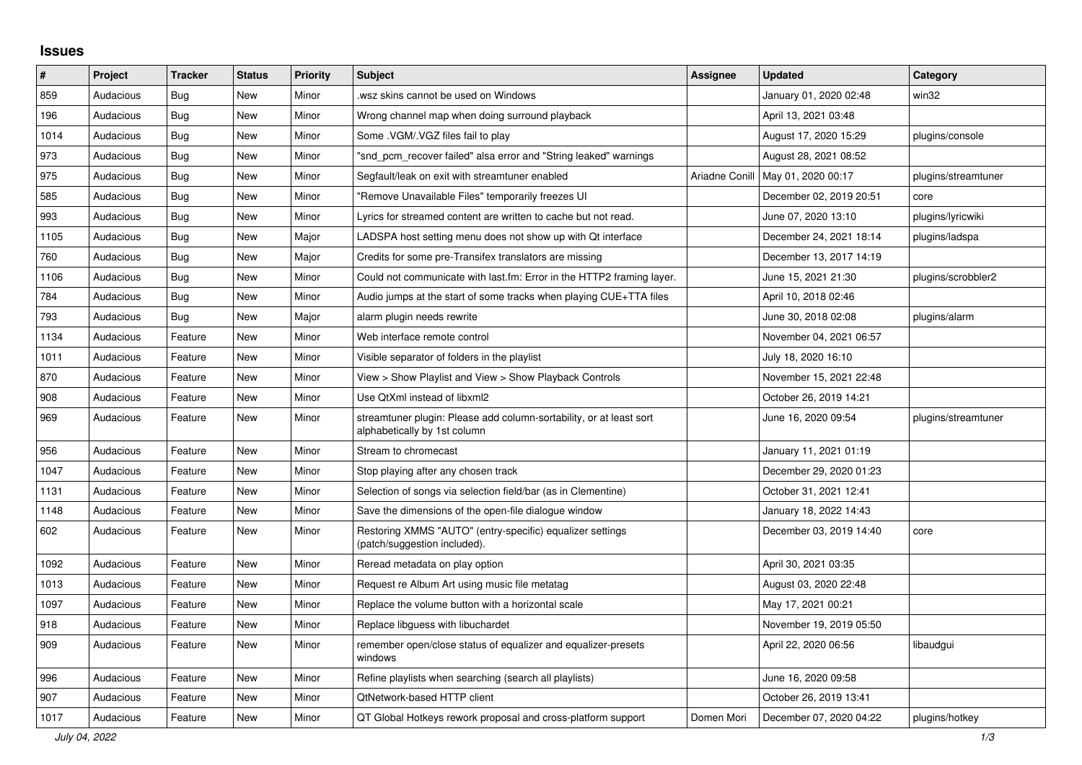## **Issues**

| ∦    | Project   | <b>Tracker</b> | <b>Status</b> | <b>Priority</b> | <b>Subject</b>                                                                                      | <b>Assignee</b> | <b>Updated</b>          | Category            |
|------|-----------|----------------|---------------|-----------------|-----------------------------------------------------------------------------------------------------|-----------------|-------------------------|---------------------|
| 859  | Audacious | Bug            | <b>New</b>    | Minor           | wsz skins cannot be used on Windows.                                                                |                 | January 01, 2020 02:48  | win32               |
| 196  | Audacious | Bug            | <b>New</b>    | Minor           | Wrong channel map when doing surround playback                                                      |                 | April 13, 2021 03:48    |                     |
| 1014 | Audacious | <b>Bug</b>     | <b>New</b>    | Minor           | Some .VGM/.VGZ files fail to play                                                                   |                 | August 17, 2020 15:29   | plugins/console     |
| 973  | Audacious | Bug            | New           | Minor           | "snd pcm recover failed" alsa error and "String leaked" warnings                                    |                 | August 28, 2021 08:52   |                     |
| 975  | Audacious | Bug            | <b>New</b>    | Minor           | Segfault/leak on exit with streamtuner enabled                                                      | Ariadne Conill  | May 01, 2020 00:17      | plugins/streamtuner |
| 585  | Audacious | Bug            | <b>New</b>    | Minor           | "Remove Unavailable Files" temporarily freezes UI                                                   |                 | December 02, 2019 20:51 | core                |
| 993  | Audacious | Bug            | <b>New</b>    | Minor           | Lyrics for streamed content are written to cache but not read.                                      |                 | June 07, 2020 13:10     | plugins/lyricwiki   |
| 1105 | Audacious | <b>Bug</b>     | <b>New</b>    | Major           | LADSPA host setting menu does not show up with Qt interface                                         |                 | December 24, 2021 18:14 | plugins/ladspa      |
| 760  | Audacious | Bug            | <b>New</b>    | Major           | Credits for some pre-Transifex translators are missing                                              |                 | December 13, 2017 14:19 |                     |
| 1106 | Audacious | <b>Bug</b>     | <b>New</b>    | Minor           | Could not communicate with last.fm: Error in the HTTP2 framing layer.                               |                 | June 15, 2021 21:30     | plugins/scrobbler2  |
| 784  | Audacious | <b>Bug</b>     | <b>New</b>    | Minor           | Audio jumps at the start of some tracks when playing CUE+TTA files                                  |                 | April 10, 2018 02:46    |                     |
| 793  | Audacious | <b>Bug</b>     | <b>New</b>    | Major           | alarm plugin needs rewrite                                                                          |                 | June 30, 2018 02:08     | plugins/alarm       |
| 1134 | Audacious | Feature        | <b>New</b>    | Minor           | Web interface remote control                                                                        |                 | November 04, 2021 06:57 |                     |
| 1011 | Audacious | Feature        | <b>New</b>    | Minor           | Visible separator of folders in the playlist                                                        |                 | July 18, 2020 16:10     |                     |
| 870  | Audacious | Feature        | New           | Minor           | View > Show Playlist and View > Show Playback Controls                                              |                 | November 15, 2021 22:48 |                     |
| 908  | Audacious | Feature        | <b>New</b>    | Minor           | Use QtXml instead of libxml2                                                                        |                 | October 26, 2019 14:21  |                     |
| 969  | Audacious | Feature        | New           | Minor           | streamtuner plugin: Please add column-sortability, or at least sort<br>alphabetically by 1st column |                 | June 16, 2020 09:54     | plugins/streamtuner |
| 956  | Audacious | Feature        | <b>New</b>    | Minor           | Stream to chromecast                                                                                |                 | January 11, 2021 01:19  |                     |
| 1047 | Audacious | Feature        | <b>New</b>    | Minor           | Stop playing after any chosen track                                                                 |                 | December 29, 2020 01:23 |                     |
| 1131 | Audacious | Feature        | <b>New</b>    | Minor           | Selection of songs via selection field/bar (as in Clementine)                                       |                 | October 31, 2021 12:41  |                     |
| 1148 | Audacious | Feature        | <b>New</b>    | Minor           | Save the dimensions of the open-file dialogue window                                                |                 | January 18, 2022 14:43  |                     |
| 602  | Audacious | Feature        | New           | Minor           | Restoring XMMS "AUTO" (entry-specific) equalizer settings<br>(patch/suggestion included).           |                 | December 03, 2019 14:40 | core                |
| 1092 | Audacious | Feature        | New           | Minor           | Reread metadata on play option                                                                      |                 | April 30, 2021 03:35    |                     |
| 1013 | Audacious | Feature        | <b>New</b>    | Minor           | Request re Album Art using music file metatag                                                       |                 | August 03, 2020 22:48   |                     |
| 1097 | Audacious | Feature        | <b>New</b>    | Minor           | Replace the volume button with a horizontal scale                                                   |                 | May 17, 2021 00:21      |                     |
| 918  | Audacious | Feature        | New           | Minor           | Replace libguess with libuchardet                                                                   |                 | November 19, 2019 05:50 |                     |
| 909  | Audacious | Feature        | New           | Minor           | remember open/close status of equalizer and equalizer-presets<br>windows                            |                 | April 22, 2020 06:56    | libaudgui           |
| 996  | Audacious | Feature        | New           | Minor           | Refine playlists when searching (search all playlists)                                              |                 | June 16, 2020 09:58     |                     |
| 907  | Audacious | Feature        | New           | Minor           | <b>QtNetwork-based HTTP client</b>                                                                  |                 | October 26, 2019 13:41  |                     |
| 1017 | Audacious | Feature        | <b>New</b>    | Minor           | QT Global Hotkeys rework proposal and cross-platform support                                        | Domen Mori      | December 07, 2020 04:22 | plugins/hotkey      |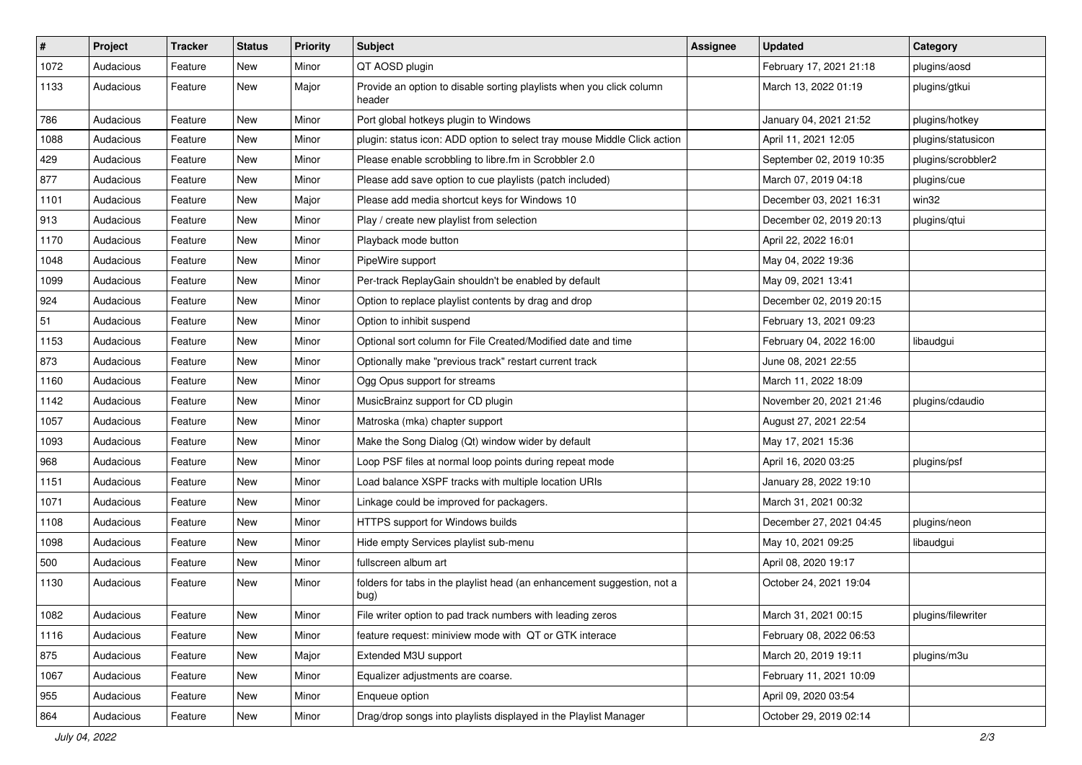| $\sharp$ | Project   | <b>Tracker</b> | <b>Status</b> | <b>Priority</b> | <b>Subject</b>                                                                  | <b>Assignee</b> | <b>Updated</b>           | Category           |
|----------|-----------|----------------|---------------|-----------------|---------------------------------------------------------------------------------|-----------------|--------------------------|--------------------|
| 1072     | Audacious | Feature        | New           | Minor           | QT AOSD plugin                                                                  |                 | February 17, 2021 21:18  | plugins/aosd       |
| 1133     | Audacious | Feature        | <b>New</b>    | Major           | Provide an option to disable sorting playlists when you click column<br>header  |                 | March 13, 2022 01:19     | plugins/gtkui      |
| 786      | Audacious | Feature        | <b>New</b>    | Minor           | Port global hotkeys plugin to Windows                                           |                 | January 04, 2021 21:52   | plugins/hotkey     |
| 1088     | Audacious | Feature        | <b>New</b>    | Minor           | plugin: status icon: ADD option to select tray mouse Middle Click action        |                 | April 11, 2021 12:05     | plugins/statusicon |
| 429      | Audacious | Feature        | New           | Minor           | Please enable scrobbling to libre.fm in Scrobbler 2.0                           |                 | September 02, 2019 10:35 | plugins/scrobbler2 |
| 877      | Audacious | Feature        | <b>New</b>    | Minor           | Please add save option to cue playlists (patch included)                        |                 | March 07, 2019 04:18     | plugins/cue        |
| 1101     | Audacious | Feature        | New           | Major           | Please add media shortcut keys for Windows 10                                   |                 | December 03, 2021 16:31  | win32              |
| 913      | Audacious | Feature        | New           | Minor           | Play / create new playlist from selection                                       |                 | December 02, 2019 20:13  | plugins/qtui       |
| 1170     | Audacious | Feature        | <b>New</b>    | Minor           | Playback mode button                                                            |                 | April 22, 2022 16:01     |                    |
| 1048     | Audacious | Feature        | New           | Minor           | PipeWire support                                                                |                 | May 04, 2022 19:36       |                    |
| 1099     | Audacious | Feature        | New           | Minor           | Per-track ReplayGain shouldn't be enabled by default                            |                 | May 09, 2021 13:41       |                    |
| 924      | Audacious | Feature        | <b>New</b>    | Minor           | Option to replace playlist contents by drag and drop                            |                 | December 02, 2019 20:15  |                    |
| 51       | Audacious | Feature        | New           | Minor           | Option to inhibit suspend                                                       |                 | February 13, 2021 09:23  |                    |
| 1153     | Audacious | Feature        | <b>New</b>    | Minor           | Optional sort column for File Created/Modified date and time                    |                 | February 04, 2022 16:00  | libaudgui          |
| 873      | Audacious | Feature        | New           | Minor           | Optionally make "previous track" restart current track                          |                 | June 08, 2021 22:55      |                    |
| 1160     | Audacious | Feature        | New           | Minor           | Ogg Opus support for streams                                                    |                 | March 11, 2022 18:09     |                    |
| 1142     | Audacious | Feature        | <b>New</b>    | Minor           | MusicBrainz support for CD plugin                                               |                 | November 20, 2021 21:46  | plugins/cdaudio    |
| 1057     | Audacious | Feature        | New           | Minor           | Matroska (mka) chapter support                                                  |                 | August 27, 2021 22:54    |                    |
| 1093     | Audacious | Feature        | <b>New</b>    | Minor           | Make the Song Dialog (Qt) window wider by default                               |                 | May 17, 2021 15:36       |                    |
| 968      | Audacious | Feature        | New           | Minor           | Loop PSF files at normal loop points during repeat mode                         |                 | April 16, 2020 03:25     | plugins/psf        |
| 1151     | Audacious | Feature        | New           | Minor           | Load balance XSPF tracks with multiple location URIs                            |                 | January 28, 2022 19:10   |                    |
| 1071     | Audacious | Feature        | New           | Minor           | Linkage could be improved for packagers.                                        |                 | March 31, 2021 00:32     |                    |
| 1108     | Audacious | Feature        | New           | Minor           | HTTPS support for Windows builds                                                |                 | December 27, 2021 04:45  | plugins/neon       |
| 1098     | Audacious | Feature        | New           | Minor           | Hide empty Services playlist sub-menu                                           |                 | May 10, 2021 09:25       | libaudgui          |
| 500      | Audacious | Feature        | New           | Minor           | fullscreen album art                                                            |                 | April 08, 2020 19:17     |                    |
| 1130     | Audacious | Feature        | New           | Minor           | folders for tabs in the playlist head (an enhancement suggestion, not a<br>bug) |                 | October 24, 2021 19:04   |                    |
| 1082     | Audacious | Feature        | New           | Minor           | File writer option to pad track numbers with leading zeros                      |                 | March 31, 2021 00:15     | plugins/filewriter |
| 1116     | Audacious | Feature        | New           | Minor           | feature request: miniview mode with QT or GTK interace                          |                 | February 08, 2022 06:53  |                    |
| 875      | Audacious | Feature        | New           | Major           | Extended M3U support                                                            |                 | March 20, 2019 19:11     | plugins/m3u        |
| 1067     | Audacious | Feature        | New           | Minor           | Equalizer adjustments are coarse.                                               |                 | February 11, 2021 10:09  |                    |
| 955      | Audacious | Feature        | New           | Minor           | Enqueue option                                                                  |                 | April 09, 2020 03:54     |                    |
| 864      | Audacious | Feature        | New           | Minor           | Drag/drop songs into playlists displayed in the Playlist Manager                |                 | October 29, 2019 02:14   |                    |